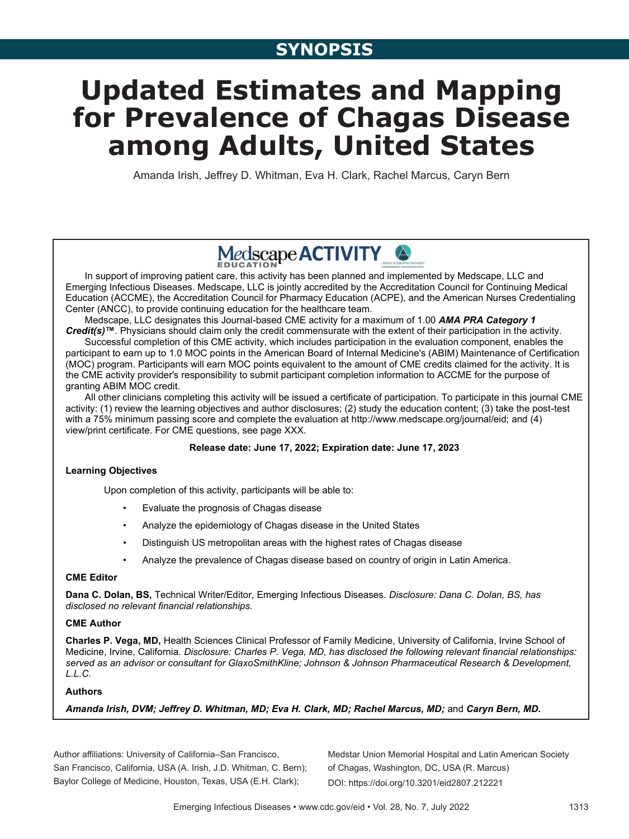# **Updated Estimates and Mapping for Prevalence of Chagas Disease among Adults, United States**

Amanda Irish, Jeffrey D. Whitman, Eva H. Clark, Rachel Marcus, Caryn Bern

## Medscape **ACTIVITY**

In support of improving patient care, this activity has been planned and implemented by Medscape, LLC and Emerging Infectious Diseases. Medscape, LLC is jointly accredited by the Accreditation Council for Continuing Medical Education (ACCME), the Accreditation Council for Pharmacy Education (ACPE), and the American Nurses Credentialing Center (ANCC), to provide continuing education for the healthcare team.

Medscape, LLC designates this Journal-based CME activity for a maximum of 1.00 *AMA PRA Category 1 Credit(s)***™**. Physicians should claim only the credit commensurate with the extent of their participation in the activity.

Successful completion of this CME activity, which includes participation in the evaluation component, enables the participant to earn up to 1.0 MOC points in the American Board of Internal Medicine's (ABIM) Maintenance of Certification (MOC) program. Participants will earn MOC points equivalent to the amount of CME credits claimed for the activity. It is the CME activity provider's responsibility to submit participant completion information to ACCME for the purpose of granting ABIM MOC credit.

All other clinicians completing this activity will be issued a certificate of participation. To participate in this journal CME activity: (1) review the learning objectives and author disclosures; (2) study the education content; (3) take the post-test with a 75% minimum passing score and complete the evaluation at http://www.medscape.org/journal/eid; and (4) view/print certificate. For CME questions, see page XXX.

#### **Release date: June 17, 2022; Expiration date: June 17, 2023**

#### **Learning Objectives**

Upon completion of this activity, participants will be able to:

- Evaluate the prognosis of Chagas disease
- Analyze the epidemiology of Chagas disease in the United States
- Distinguish US metropolitan areas with the highest rates of Chagas disease
- Analyze the prevalence of Chagas disease based on country of origin in Latin America.

#### **CME Editor**

**Dana C. Dolan, BS,** Technical Writer/Editor, Emerging Infectious Diseases. *Disclosure: Dana C. Dolan, BS, has disclosed no relevant financial relationships.*

#### **CME Author**

**Charles P. Vega, MD,** Health Sciences Clinical Professor of Family Medicine, University of California, Irvine School of Medicine, Irvine, California. *Disclosure: Charles P. Vega, MD, has disclosed the following relevant financial relationships: served as an advisor or consultant for GlaxoSmithKline; Johnson & Johnson Pharmaceutical Research & Development, L.L.C.*

#### **Authors**

*Amanda Irish, DVM; Jeffrey D. Whitman, MD; Eva H. Clark, MD; Rachel Marcus, MD;* and *Caryn Bern, MD.*

Author affiliations: University of California–San Francisco, San Francisco, California, USA (A. Irish, J.D. Whitman, C. Bern); Baylor College of Medicine, Houston, Texas, USA (E.H. Clark);

Medstar Union Memorial Hospital and Latin American Society of Chagas, Washington, DC, USA (R. Marcus) DOI: https://doi.org/10.3201/eid2807.212221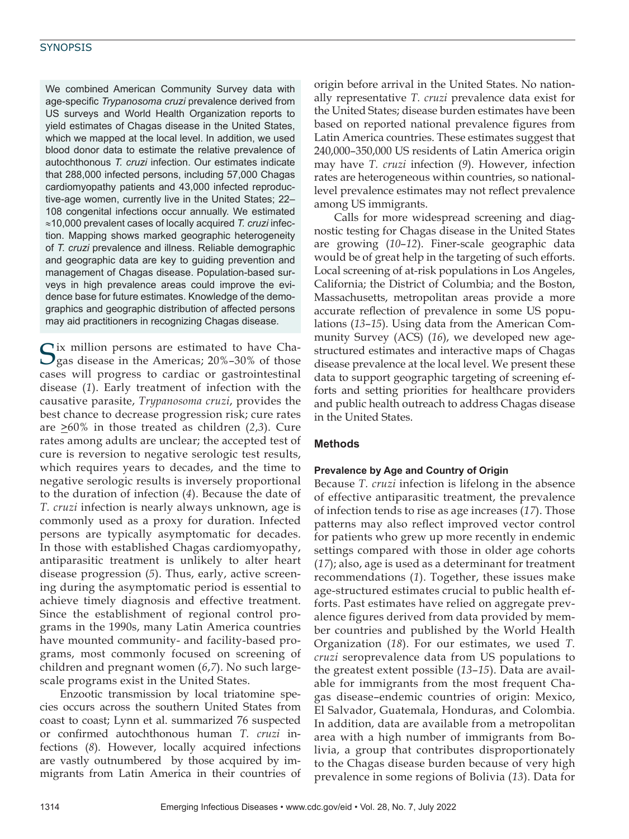We combined American Community Survey data with age-specific *Trypanosoma cruzi* prevalence derived from US surveys and World Health Organization reports to yield estimates of Chagas disease in the United States, which we mapped at the local level. In addition, we used blood donor data to estimate the relative prevalence of autochthonous *T. cruzi* infection. Our estimates indicate that 288,000 infected persons, including 57,000 Chagas cardiomyopathy patients and 43,000 infected reproductive-age women, currently live in the United States; 22– 108 congenital infections occur annually. We estimated ≈10,000 prevalent cases of locally acquired *T. cruzi* infection. Mapping shows marked geographic heterogeneity of *T. cruzi* prevalence and illness. Reliable demographic and geographic data are key to guiding prevention and management of Chagas disease. Population-based surveys in high prevalence areas could improve the evidence base for future estimates. Knowledge of the demographics and geographic distribution of affected persons may aid practitioners in recognizing Chagas disease.

Six million persons are estimated to have Cha-gas disease in the Americas; 20%–30% of those cases will progress to cardiac or gastrointestinal disease (*1*). Early treatment of infection with the causative parasite, *Trypanosoma cruzi*, provides the best chance to decrease progression risk; cure rates are >60% in those treated as children (*2*,*3*). Cure rates among adults are unclear; the accepted test of cure is reversion to negative serologic test results, which requires years to decades, and the time to negative serologic results is inversely proportional to the duration of infection (*4*). Because the date of *T. cruzi* infection is nearly always unknown, age is commonly used as a proxy for duration. Infected persons are typically asymptomatic for decades. In those with established Chagas cardiomyopathy, antiparasitic treatment is unlikely to alter heart disease progression (*5*). Thus, early, active screening during the asymptomatic period is essential to achieve timely diagnosis and effective treatment. Since the establishment of regional control programs in the 1990s, many Latin America countries have mounted community- and facility-based programs, most commonly focused on screening of children and pregnant women (*6*,*7*). No such largescale programs exist in the United States.

Enzootic transmission by local triatomine species occurs across the southern United States from coast to coast; Lynn et al. summarized 76 suspected or confirmed autochthonous human *T. cruzi* infections (*8*). However, locally acquired infections are vastly outnumbered by those acquired by immigrants from Latin America in their countries of

origin before arrival in the United States. No nationally representative *T. cruzi* prevalence data exist for the United States; disease burden estimates have been based on reported national prevalence figures from Latin America countries. These estimates suggest that 240,000–350,000 US residents of Latin America origin may have *T. cruzi* infection (*9*). However, infection rates are heterogeneous within countries, so nationallevel prevalence estimates may not reflect prevalence among US immigrants.

Calls for more widespread screening and diagnostic testing for Chagas disease in the United States are growing (*10*–*12*). Finer-scale geographic data would be of great help in the targeting of such efforts. Local screening of at-risk populations in Los Angeles, California; the District of Columbia; and the Boston, Massachusetts, metropolitan areas provide a more accurate reflection of prevalence in some US populations (*13*–*15*). Using data from the American Community Survey (ACS) (*16*), we developed new agestructured estimates and interactive maps of Chagas disease prevalence at the local level. We present these data to support geographic targeting of screening efforts and setting priorities for healthcare providers and public health outreach to address Chagas disease in the United States.

#### **Methods**

#### **Prevalence by Age and Country of Origin**

Because *T. cruzi* infection is lifelong in the absence of effective antiparasitic treatment, the prevalence of infection tends to rise as age increases (*17*). Those patterns may also reflect improved vector control for patients who grew up more recently in endemic settings compared with those in older age cohorts (*17*); also, age is used as a determinant for treatment recommendations (*1*). Together, these issues make age-structured estimates crucial to public health efforts. Past estimates have relied on aggregate prevalence figures derived from data provided by member countries and published by the World Health Organization (*18*). For our estimates, we used *T. cruzi* seroprevalence data from US populations to the greatest extent possible (*13*–*15*). Data are available for immigrants from the most frequent Chagas disease–endemic countries of origin: Mexico, El Salvador, Guatemala, Honduras, and Colombia. In addition, data are available from a metropolitan area with a high number of immigrants from Bolivia, a group that contributes disproportionately to the Chagas disease burden because of very high prevalence in some regions of Bolivia (*13*). Data for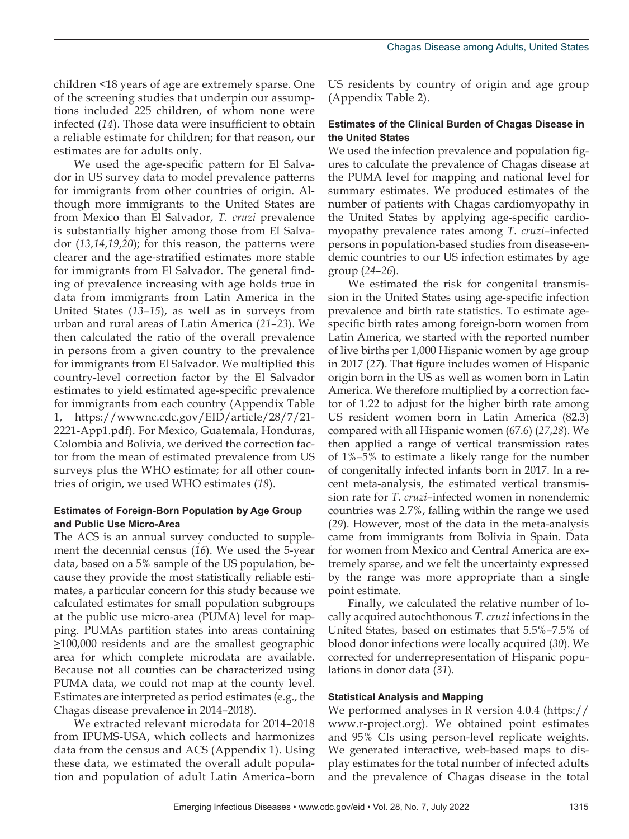children <18 years of age are extremely sparse. One of the screening studies that underpin our assumptions included 225 children, of whom none were infected (*14*). Those data were insufficient to obtain a reliable estimate for children; for that reason, our estimates are for adults only.

We used the age-specific pattern for El Salvador in US survey data to model prevalence patterns for immigrants from other countries of origin. Although more immigrants to the United States are from Mexico than El Salvador, *T. cruzi* prevalence is substantially higher among those from El Salvador (*13*,*14*,*19*,*20*); for this reason, the patterns were clearer and the age-stratified estimates more stable for immigrants from El Salvador. The general finding of prevalence increasing with age holds true in data from immigrants from Latin America in the United States (*13*–*15*), as well as in surveys from urban and rural areas of Latin America (*21*–*23*). We then calculated the ratio of the overall prevalence in persons from a given country to the prevalence for immigrants from El Salvador. We multiplied this country-level correction factor by the El Salvador estimates to yield estimated age-specific prevalence for immigrants from each country (Appendix Table 1, https://wwwnc.cdc.gov/EID/article/28/7/21- 2221-App1.pdf). For Mexico, Guatemala, Honduras, Colombia and Bolivia, we derived the correction factor from the mean of estimated prevalence from US surveys plus the WHO estimate; for all other countries of origin, we used WHO estimates (*18*).

#### **Estimates of Foreign-Born Population by Age Group and Public Use Micro-Area**

The ACS is an annual survey conducted to supplement the decennial census (*16*). We used the 5-year data, based on a 5% sample of the US population, because they provide the most statistically reliable estimates, a particular concern for this study because we calculated estimates for small population subgroups at the public use micro-area (PUMA) level for mapping. PUMAs partition states into areas containing >100,000 residents and are the smallest geographic area for which complete microdata are available. Because not all counties can be characterized using PUMA data, we could not map at the county level. Estimates are interpreted as period estimates (e.g., the Chagas disease prevalence in 2014–2018).

We extracted relevant microdata for 2014–2018 from IPUMS-USA, which collects and harmonizes data from the census and ACS (Appendix 1). Using these data, we estimated the overall adult population and population of adult Latin America–born

US residents by country of origin and age group (Appendix Table 2).

#### **Estimates of the Clinical Burden of Chagas Disease in the United States**

We used the infection prevalence and population figures to calculate the prevalence of Chagas disease at the PUMA level for mapping and national level for summary estimates. We produced estimates of the number of patients with Chagas cardiomyopathy in the United States by applying age-specific cardiomyopathy prevalence rates among *T. cruzi*–infected persons in population-based studies from disease-endemic countries to our US infection estimates by age group (*24*–*26*).

We estimated the risk for congenital transmission in the United States using age-specific infection prevalence and birth rate statistics. To estimate agespecific birth rates among foreign-born women from Latin America, we started with the reported number of live births per 1,000 Hispanic women by age group in 2017 (*27*). That figure includes women of Hispanic origin born in the US as well as women born in Latin America. We therefore multiplied by a correction factor of 1.22 to adjust for the higher birth rate among US resident women born in Latin America (82.3) compared with all Hispanic women (67.6) (*27*,*28*). We then applied a range of vertical transmission rates of 1%–5% to estimate a likely range for the number of congenitally infected infants born in 2017. In a recent meta-analysis, the estimated vertical transmission rate for *T. cruzi*–infected women in nonendemic countries was 2.7%, falling within the range we used (*29*). However, most of the data in the meta-analysis came from immigrants from Bolivia in Spain. Data for women from Mexico and Central America are extremely sparse, and we felt the uncertainty expressed by the range was more appropriate than a single point estimate.

Finally, we calculated the relative number of locally acquired autochthonous *T. cruzi* infections in the United States, based on estimates that 5.5%–7.5% of blood donor infections were locally acquired (*30*). We corrected for underrepresentation of Hispanic populations in donor data (*31*).

#### **Statistical Analysis and Mapping**

We performed analyses in R version 4.0.4 (https:// www.r-project.org). We obtained point estimates and 95% CIs using person-level replicate weights. We generated interactive, web-based maps to display estimates for the total number of infected adults and the prevalence of Chagas disease in the total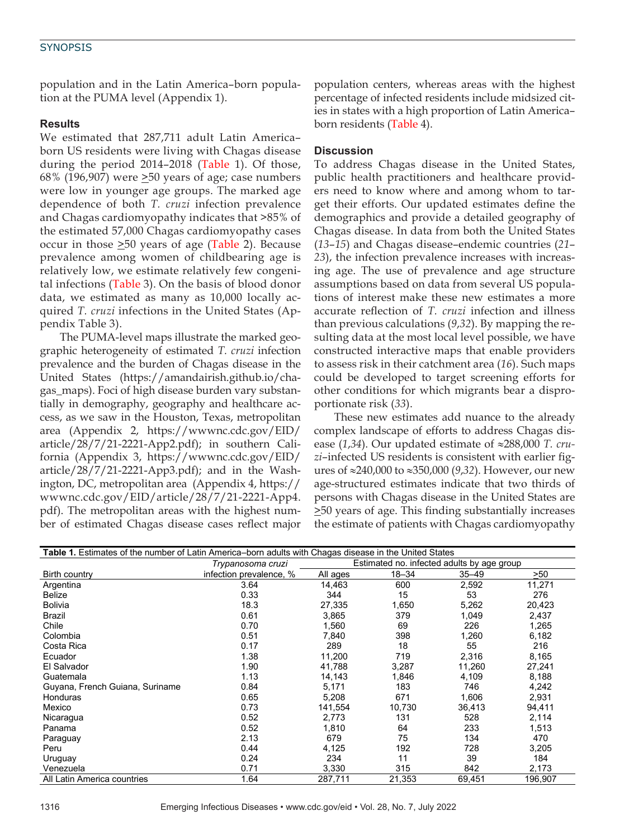population and in the Latin America–born population at the PUMA level (Appendix 1).

#### **Results**

We estimated that 287,711 adult Latin America– born US residents were living with Chagas disease during the period 2014–2018 (Table 1). Of those, 68% (196,907) were  $\geq$ 50 years of age; case numbers were low in younger age groups. The marked age dependence of both *T. cruzi* infection prevalence and Chagas cardiomyopathy indicates that >85% of the estimated 57,000 Chagas cardiomyopathy cases occur in those  $\geq 50$  years of age (Table 2). Because prevalence among women of childbearing age is relatively low, we estimate relatively few congenital infections (Table 3). On the basis of blood donor data, we estimated as many as 10,000 locally acquired *T. cruzi* infections in the United States (Appendix Table 3).

The PUMA-level maps illustrate the marked geographic heterogeneity of estimated *T. cruzi* infection prevalence and the burden of Chagas disease in the United States (https://amandairish.github.io/chagas\_maps). Foci of high disease burden vary substantially in demography, geography and healthcare access, as we saw in the Houston, Texas, metropolitan area (Appendix 2, https://wwwnc.cdc.gov/EID/ article/28/7/21-2221-App2.pdf); in southern California (Appendix 3, https://wwwnc.cdc.gov/EID/ article/28/7/21-2221-App3.pdf); and in the Washington, DC, metropolitan area (Appendix 4, https:// wwwnc.cdc.gov/EID/article/28/7/21-2221-App4. pdf). The metropolitan areas with the highest number of estimated Chagas disease cases reflect major

population centers, whereas areas with the highest percentage of infected residents include midsized cities in states with a high proportion of Latin America– born residents (Table 4).

#### **Discussion**

To address Chagas disease in the United States, public health practitioners and healthcare providers need to know where and among whom to target their efforts. Our updated estimates define the demographics and provide a detailed geography of Chagas disease. In data from both the United States (*13*–*15*) and Chagas disease–endemic countries (*21*– *23*), the infection prevalence increases with increasing age. The use of prevalence and age structure assumptions based on data from several US populations of interest make these new estimates a more accurate reflection of *T. cruzi* infection and illness than previous calculations (*9*,*32*). By mapping the resulting data at the most local level possible, we have constructed interactive maps that enable providers to assess risk in their catchment area (*16*). Such maps could be developed to target screening efforts for other conditions for which migrants bear a disproportionate risk (*33*).

These new estimates add nuance to the already complex landscape of efforts to address Chagas disease (*1*,*34*). Our updated estimate of ≈288,000 *T. cruzi*–infected US residents is consistent with earlier figures of ≈240,000 to ≈350,000 (*9*,*32*). However, our new age-structured estimates indicate that two thirds of persons with Chagas disease in the United States are >50 years of age. This finding substantially increases the estimate of patients with Chagas cardiomyopathy

| Table 1. Estimates of the number of Latin America–born adults with Chagas disease in the United States |                         |                                            |           |           |         |
|--------------------------------------------------------------------------------------------------------|-------------------------|--------------------------------------------|-----------|-----------|---------|
|                                                                                                        | Trypanosoma cruzi       | Estimated no. infected adults by age group |           |           |         |
| Birth country                                                                                          | infection prevalence, % | All ages                                   | $18 - 34$ | $35 - 49$ | >50     |
| Argentina                                                                                              | 3.64                    | 14,463                                     | 600       | 2,592     | 11,271  |
| <b>Belize</b>                                                                                          | 0.33                    | 344                                        | 15        | 53        | 276     |
| <b>Bolivia</b>                                                                                         | 18.3                    | 27,335                                     | 1,650     | 5,262     | 20,423  |
| Brazil                                                                                                 | 0.61                    | 3,865                                      | 379       | 1,049     | 2,437   |
| Chile                                                                                                  | 0.70                    | 1,560                                      | 69        | 226       | 1,265   |
| Colombia                                                                                               | 0.51                    | 7,840                                      | 398       | 1,260     | 6,182   |
| Costa Rica                                                                                             | 0.17                    | 289                                        | 18        | 55        | 216     |
| Ecuador                                                                                                | 1.38                    | 11,200                                     | 719       | 2,316     | 8,165   |
| El Salvador                                                                                            | 1.90                    | 41,788                                     | 3,287     | 11,260    | 27,241  |
| Guatemala                                                                                              | 1.13                    | 14,143                                     | 1,846     | 4,109     | 8,188   |
| Guyana, French Guiana, Suriname                                                                        | 0.84                    | 5,171                                      | 183       | 746       | 4,242   |
| Honduras                                                                                               | 0.65                    | 5,208                                      | 671       | 1,606     | 2,931   |
| Mexico                                                                                                 | 0.73                    | 141,554                                    | 10,730    | 36,413    | 94,411  |
| Nicaragua                                                                                              | 0.52                    | 2,773                                      | 131       | 528       | 2,114   |
| Panama                                                                                                 | 0.52                    | 1,810                                      | 64        | 233       | 1,513   |
| Paraguay                                                                                               | 2.13                    | 679                                        | 75        | 134       | 470     |
| Peru                                                                                                   | 0.44                    | 4,125                                      | 192       | 728       | 3,205   |
| Uruguay                                                                                                | 0.24                    | 234                                        | 11        | 39        | 184     |
| Venezuela                                                                                              | 0.71                    | 3,330                                      | 315       | 842       | 2,173   |
| All Latin America countries                                                                            | 1.64                    | 287,711                                    | 21,353    | 69,451    | 196,907 |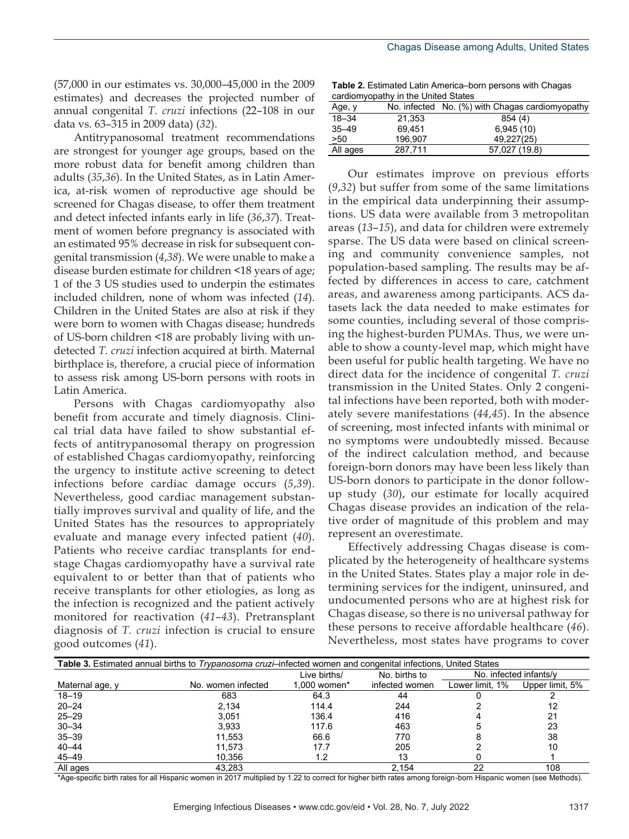(57,000 in our estimates vs. 30,000–45,000 in the 2009 estimates) and decreases the projected number of annual congenital *T. cruzi* infections (22–108 in our data vs. 63–315 in 2009 data) (*32*).

Antitrypanosomal treatment recommendations are strongest for younger age groups, based on the more robust data for benefit among children than adults (*35*,*36*). In the United States, as in Latin America, at-risk women of reproductive age should be screened for Chagas disease, to offer them treatment and detect infected infants early in life (*36*,*37*). Treatment of women before pregnancy is associated with an estimated 95% decrease in risk for subsequent congenital transmission (*4*,*38*). We were unable to make a disease burden estimate for children <18 years of age; 1 of the 3 US studies used to underpin the estimates included children, none of whom was infected (*14*). Children in the United States are also at risk if they were born to women with Chagas disease; hundreds of US-born children <18 are probably living with undetected *T. cruzi* infection acquired at birth. Maternal birthplace is, therefore, a crucial piece of information to assess risk among US-born persons with roots in Latin America.

Persons with Chagas cardiomyopathy also benefit from accurate and timely diagnosis. Clinical trial data have failed to show substantial effects of antitrypanosomal therapy on progression of established Chagas cardiomyopathy, reinforcing the urgency to institute active screening to detect infections before cardiac damage occurs (*5*,*39*). Nevertheless, good cardiac management substantially improves survival and quality of life, and the United States has the resources to appropriately evaluate and manage every infected patient (*40*). Patients who receive cardiac transplants for endstage Chagas cardiomyopathy have a survival rate equivalent to or better than that of patients who receive transplants for other etiologies, as long as the infection is recognized and the patient actively monitored for reactivation (*41*–*43*). Pretransplant diagnosis of *T. cruzi* infection is crucial to ensure good outcomes (*41*).

**Table 2.** Estimated Latin America–born persons with Chagas cardiomyopathy in the United States

| $0.41$ and $0.11$ , $0.04$ and $1.11$ and $0.01$ . The control decided of $0.01$ |         |                                                 |  |  |
|----------------------------------------------------------------------------------|---------|-------------------------------------------------|--|--|
| Age, y                                                                           |         | No. infected No. (%) with Chagas cardiomyopathy |  |  |
| $18 - 34$                                                                        | 21.353  | 854 (4)                                         |  |  |
| $35 - 49$                                                                        | 69.451  | 6,945(10)                                       |  |  |
| >50                                                                              | 196.907 | 49.227(25)                                      |  |  |
| All ages                                                                         | 287.711 | 57,027 (19.8)                                   |  |  |

Our estimates improve on previous efforts (*9*,*32*) but suffer from some of the same limitations in the empirical data underpinning their assumptions. US data were available from 3 metropolitan areas (*13*–*15*), and data for children were extremely sparse. The US data were based on clinical screening and community convenience samples, not population-based sampling. The results may be affected by differences in access to care, catchment areas, and awareness among participants. ACS datasets lack the data needed to make estimates for some counties, including several of those comprising the highest-burden PUMAs. Thus, we were unable to show a county-level map, which might have been useful for public health targeting. We have no direct data for the incidence of congenital *T. cruzi* transmission in the United States. Only 2 congenital infections have been reported, both with moderately severe manifestations (*44*,*45*). In the absence of screening, most infected infants with minimal or no symptoms were undoubtedly missed. Because of the indirect calculation method, and because foreign-born donors may have been less likely than US-born donors to participate in the donor followup study (*30*), our estimate for locally acquired Chagas disease provides an indication of the relative order of magnitude of this problem and may represent an overestimate.

Effectively addressing Chagas disease is complicated by the heterogeneity of healthcare systems in the United States. States play a major role in determining services for the indigent, uninsured, and undocumented persons who are at highest risk for Chagas disease, so there is no universal pathway for these persons to receive affordable healthcare (*46*). Nevertheless, most states have programs to cover

| <b>Table 3.</b> Estimated annual births to <i>Trypanosoma cruzi</i> -infected women and congenital infections. United States |                    |              |                |                        |                 |
|------------------------------------------------------------------------------------------------------------------------------|--------------------|--------------|----------------|------------------------|-----------------|
|                                                                                                                              |                    | Live births/ | No. births to  | No. infected infants/v |                 |
| Maternal age, y                                                                                                              | No. women infected | 1.000 women* | infected women | Lower limit, 1%        | Upper limit, 5% |
| $18 - 19$                                                                                                                    | 683                | 64.3         | 44             |                        |                 |
| $20 - 24$                                                                                                                    | 2.134              | 114.4        | 244            |                        | 12              |
| $25 - 29$                                                                                                                    | 3.051              | 136.4        | 416            |                        | 21              |
| $30 - 34$                                                                                                                    | 3.933              | 117.6        | 463            |                        | 23              |
| $35 - 39$                                                                                                                    | 11.553             | 66.6         | 770            |                        | 38              |
| $40 - 44$                                                                                                                    | 11.573             | 17.7         | 205            |                        | 10              |
| $45 - 49$                                                                                                                    | 10.356             | 1.2          | 13             |                        |                 |
| All ages                                                                                                                     | 43.283             |              | 2.154          | 22                     | 108             |

\*Age-specific birth rates for all Hispanic women in 2017 multiplied by 1.22 to correct for higher birth rates among foreign-born Hispanic women (see Methods).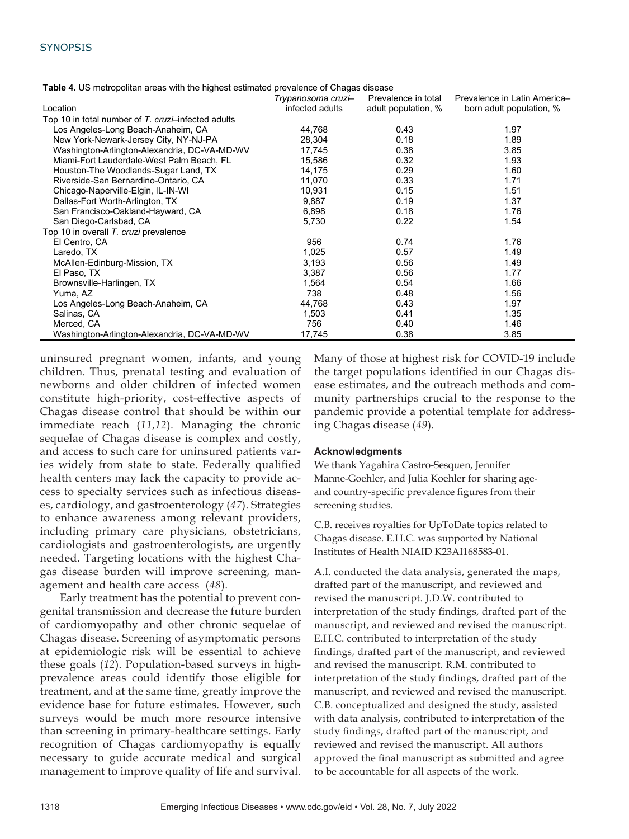| <b>Trable 4.</b> OS metropolitan areas with the highest estimated prevalence of Chagas disease |                    |                     |                              |  |  |
|------------------------------------------------------------------------------------------------|--------------------|---------------------|------------------------------|--|--|
|                                                                                                | Trypanosoma cruzi- | Prevalence in total | Prevalence in Latin America- |  |  |
| Location                                                                                       | infected adults    | adult population, % | born adult population, %     |  |  |
| Top 10 in total number of T. cruzi-infected adults                                             |                    |                     |                              |  |  |
| Los Angeles-Long Beach-Anaheim, CA                                                             | 44,768             | 0.43                | 1.97                         |  |  |
| New York-Newark-Jersey City, NY-NJ-PA                                                          | 28,304             | 0.18                | 1.89                         |  |  |
| Washington-Arlington-Alexandria, DC-VA-MD-WV                                                   | 17,745             | 0.38                | 3.85                         |  |  |
| Miami-Fort Lauderdale-West Palm Beach, FL                                                      | 15,586             | 0.32                | 1.93                         |  |  |
| Houston-The Woodlands-Sugar Land, TX                                                           | 14,175             | 0.29                | 1.60                         |  |  |
| Riverside-San Bernardino-Ontario, CA                                                           | 11.070             | 0.33                | 1.71                         |  |  |
| Chicago-Naperville-Elgin, IL-IN-WI                                                             | 10.931             | 0.15                | 1.51                         |  |  |
| Dallas-Fort Worth-Arlington, TX                                                                | 9,887              | 0.19                | 1.37                         |  |  |
| San Francisco-Oakland-Hayward, CA                                                              | 6,898              | 0.18                | 1.76                         |  |  |
| San Diego-Carlsbad, CA                                                                         | 5,730              | 0.22                | 1.54                         |  |  |
| Top 10 in overall T. cruzi prevalence                                                          |                    |                     |                              |  |  |
| El Centro, CA                                                                                  | 956                | 0.74                | 1.76                         |  |  |
| Laredo, TX                                                                                     | 1,025              | 0.57                | 1.49                         |  |  |
| McAllen-Edinburg-Mission, TX                                                                   | 3,193              | 0.56                | 1.49                         |  |  |
| El Paso, TX                                                                                    | 3,387              | 0.56                | 1.77                         |  |  |
| Brownsville-Harlingen, TX                                                                      | 1,564              | 0.54                | 1.66                         |  |  |
| Yuma, AZ                                                                                       | 738                | 0.48                | 1.56                         |  |  |
| Los Angeles-Long Beach-Anaheim, CA                                                             | 44,768             | 0.43                | 1.97                         |  |  |
| Salinas, CA                                                                                    | 1,503              | 0.41                | 1.35                         |  |  |
| Merced, CA                                                                                     | 756                | 0.40                | 1.46                         |  |  |
| Washington-Arlington-Alexandria, DC-VA-MD-WV                                                   | 17,745             | 0.38                | 3.85                         |  |  |

**Table 4.** US metropolitan areas with the highest estimated prevalence of Chagas disease

uninsured pregnant women, infants, and young children. Thus, prenatal testing and evaluation of newborns and older children of infected women constitute high-priority, cost-effective aspects of Chagas disease control that should be within our immediate reach (*11*,*12*). Managing the chronic sequelae of Chagas disease is complex and costly, and access to such care for uninsured patients varies widely from state to state. Federally qualified health centers may lack the capacity to provide access to specialty services such as infectious diseases, cardiology, and gastroenterology (*47*). Strategies to enhance awareness among relevant providers, including primary care physicians, obstetricians, cardiologists and gastroenterologists, are urgently needed. Targeting locations with the highest Chagas disease burden will improve screening, management and health care access (*48*).

Early treatment has the potential to prevent congenital transmission and decrease the future burden of cardiomyopathy and other chronic sequelae of Chagas disease. Screening of asymptomatic persons at epidemiologic risk will be essential to achieve these goals (*12*). Population-based surveys in highprevalence areas could identify those eligible for treatment, and at the same time, greatly improve the evidence base for future estimates. However, such surveys would be much more resource intensive than screening in primary-healthcare settings. Early recognition of Chagas cardiomyopathy is equally necessary to guide accurate medical and surgical management to improve quality of life and survival.

Many of those at highest risk for COVID-19 include the target populations identified in our Chagas disease estimates, and the outreach methods and community partnerships crucial to the response to the pandemic provide a potential template for addressing Chagas disease (*49*).

#### **Acknowledgments**

We thank Yagahira Castro-Sesquen, Jennifer Manne-Goehler, and Julia Koehler for sharing ageand country-specific prevalence figures from their screening studies.

C.B. receives royalties for UpToDate topics related to Chagas disease. E.H.C. was supported by National Institutes of Health NIAID K23AI168583-01.

A.I. conducted the data analysis, generated the maps, drafted part of the manuscript, and reviewed and revised the manuscript. J.D.W. contributed to interpretation of the study findings, drafted part of the manuscript, and reviewed and revised the manuscript. E.H.C. contributed to interpretation of the study findings, drafted part of the manuscript, and reviewed and revised the manuscript. R.M. contributed to interpretation of the study findings, drafted part of the manuscript, and reviewed and revised the manuscript. C.B. conceptualized and designed the study, assisted with data analysis, contributed to interpretation of the study findings, drafted part of the manuscript, and reviewed and revised the manuscript. All authors approved the final manuscript as submitted and agree to be accountable for all aspects of the work.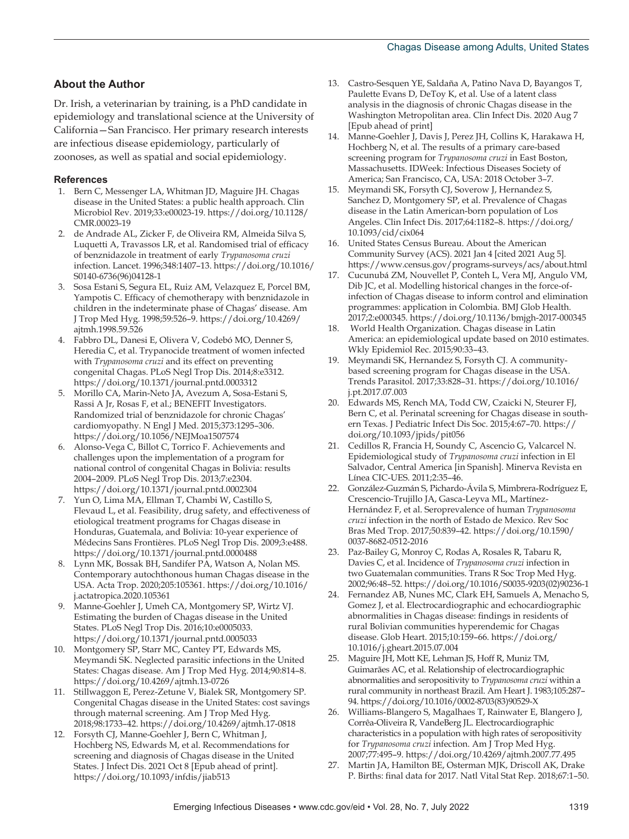#### **About the Author**

Dr. Irish, a veterinarian by training, is a PhD candidate in epidemiology and translational science at the University of California—San Francisco. Her primary research interests are infectious disease epidemiology, particularly of zoonoses, as well as spatial and social epidemiology.

#### **References**

- 1. Bern C, Messenger LA, Whitman JD, Maguire JH. Chagas disease in the United States: a public health approach. Clin Microbiol Rev. 2019;33:e00023-19. https://doi.org/10.1128/ CMR.00023-19
- 2. de Andrade AL, Zicker F, de Oliveira RM, Almeida Silva S, Luquetti A, Travassos LR, et al. Randomised trial of efficacy of benznidazole in treatment of early *Trypanosoma cruzi* infection. Lancet. 1996;348:1407–13. https://doi.org/10.1016/ S0140-6736(96)04128-1
- 3. Sosa Estani S, Segura EL, Ruiz AM, Velazquez E, Porcel BM, Yampotis C. Efficacy of chemotherapy with benznidazole in children in the indeterminate phase of Chagas' disease. Am J Trop Med Hyg. 1998;59:526–9. https://doi.org/10.4269/ ajtmh.1998.59.526
- 4. Fabbro DL, Danesi E, Olivera V, Codebó MO, Denner S, Heredia C, et al. Trypanocide treatment of women infected with *Trypanosoma cruzi* and its effect on preventing congenital Chagas. PLoS Negl Trop Dis. 2014;8:e3312. https://doi.org/10.1371/journal.pntd.0003312
- 5. Morillo CA, Marin-Neto JA, Avezum A, Sosa-Estani S, Rassi A Jr, Rosas F, et al.; BENEFIT Investigators. Randomized trial of benznidazole for chronic Chagas' cardiomyopathy. N Engl J Med. 2015;373:1295–306. https://doi.org/10.1056/NEJMoa1507574
- Alonso-Vega C, Billot C, Torrico F. Achievements and challenges upon the implementation of a program for national control of congenital Chagas in Bolivia: results 2004–2009. PLoS Negl Trop Dis. 2013;7:e2304. https://doi.org/10.1371/journal.pntd.0002304
- 7. Yun O, Lima MA, Ellman T, Chambi W, Castillo S, Flevaud L, et al. Feasibility, drug safety, and effectiveness of etiological treatment programs for Chagas disease in Honduras, Guatemala, and Bolivia: 10-year experience of Médecins Sans Frontières. PLoS Negl Trop Dis. 2009;3:e488. https://doi.org/10.1371/journal.pntd.0000488
- 8. Lynn MK, Bossak BH, Sandifer PA, Watson A, Nolan MS. Contemporary autochthonous human Chagas disease in the USA. Acta Trop. 2020;205:105361. https://doi.org/10.1016/ j.actatropica.2020.105361
- 9. Manne-Goehler J, Umeh CA, Montgomery SP, Wirtz VJ. Estimating the burden of Chagas disease in the United States. PLoS Negl Trop Dis. 2016;10:e0005033. https://doi.org/10.1371/journal.pntd.0005033
- 10. Montgomery SP, Starr MC, Cantey PT, Edwards MS, Meymandi SK. Neglected parasitic infections in the United States: Chagas disease. Am J Trop Med Hyg. 2014;90:814–8. https://doi.org/10.4269/ajtmh.13-0726
- 11. Stillwaggon E, Perez-Zetune V, Bialek SR, Montgomery SP. Congenital Chagas disease in the United States: cost savings through maternal screening. Am J Trop Med Hyg. 2018;98:1733–42. https://doi.org/10.4269/ajtmh.17-0818
- 12. Forsyth CJ, Manne-Goehler J, Bern C, Whitman J, Hochberg NS, Edwards M, et al. Recommendations for screening and diagnosis of Chagas disease in the United States. J Infect Dis. 2021 Oct 8 [Epub ahead of print]. https://doi.org/10.1093/infdis/jiab513
- 13. Castro-Sesquen YE, Saldaña A, Patino Nava D, Bayangos T, Paulette Evans D, DeToy K, et al. Use of a latent class analysis in the diagnosis of chronic Chagas disease in the Washington Metropolitan area. Clin Infect Dis. 2020 Aug 7 [Epub ahead of print]
- 14. Manne-Goehler J, Davis J, Perez JH, Collins K, Harakawa H, Hochberg N, et al. The results of a primary care-based screening program for *Trypanosoma cruzi* in East Boston, Massachusetts. IDWeek: Infectious Diseases Society of America; San Francisco, CA, USA: 2018 October 3–7.
- 15. Meymandi SK, Forsyth CJ, Soverow J, Hernandez S, Sanchez D, Montgomery SP, et al. Prevalence of Chagas disease in the Latin American-born population of Los Angeles. Clin Infect Dis. 2017;64:1182–8. https://doi.org/ 10.1093/cid/cix064
- 16. United States Census Bureau. About the American Community Survey (ACS). 2021 Jan 4 [cited 2021 Aug 5]. https://www.census.gov/programs-surveys/acs/about.html
- 17. Cucunubá ZM, Nouvellet P, Conteh L, Vera MJ, Angulo VM, Dib JC, et al. Modelling historical changes in the force-ofinfection of Chagas disease to inform control and elimination programmes: application in Colombia. BMJ Glob Health. 2017;2:e000345. https://doi.org/10.1136/bmjgh-2017-000345
- 18. World Health Organization. Chagas disease in Latin America: an epidemiological update based on 2010 estimates. Wkly Epidemiol Rec. 2015;90:33–43.
- Meymandi SK, Hernandez S, Forsyth CJ. A communitybased screening program for Chagas disease in the USA. Trends Parasitol. 2017;33:828–31. https://doi.org/10.1016/ j.pt.2017.07.003
- 20. Edwards MS, Rench MA, Todd CW, Czaicki N, Steurer FJ, Bern C, et al. Perinatal screening for Chagas disease in southern Texas. J Pediatric Infect Dis Soc. 2015;4:67–70. https:// doi.org/10.1093/jpids/pit056
- 21. Cedillos R, Francia H, Soundy C, Ascencio G, Valcarcel N. Epidemiological study of *Trypanosoma cruzi* infection in El Salvador, Central America [in Spanish]. Minerva Revista en Línea CIC-UES. 2011;2:35–46.
- 22. González-Guzmán S, Pichardo-Ávila S, Mimbrera-Rodríguez E, Crescencio-Trujillo JA, Gasca-Leyva ML, Martínez-Hernández F, et al. Seroprevalence of human *Trypanosoma cruzi* infection in the north of Estado de Mexico. Rev Soc Bras Med Trop. 2017;50:839–42. https://doi.org/10.1590/ 0037-8682-0512-2016
- 23. Paz-Bailey G, Monroy C, Rodas A, Rosales R, Tabaru R, Davies C, et al. Incidence of *Trypanosoma cruzi* infection in two Guatemalan communities. Trans R Soc Trop Med Hyg. 2002;96:48–52. https://doi.org/10.1016/S0035-9203(02)90236-1
- 24. Fernandez AB, Nunes MC, Clark EH, Samuels A, Menacho S, Gomez J, et al. Electrocardiographic and echocardiographic abnormalities in Chagas disease: findings in residents of rural Bolivian communities hyperendemic for Chagas disease. Glob Heart. 2015;10:159–66. https://doi.org/ 10.1016/j.gheart.2015.07.004
- 25. Maguire JH, Mott KE, Lehman JS, Hoff R, Muniz TM, Guimarães AC, et al. Relationship of electrocardiographic abnormalities and seropositivity to *Trypanosoma cruzi* within a rural community in northeast Brazil. Am Heart J. 1983;105:287– 94. https://doi.org/10.1016/0002-8703(83)90529-X
- 26. Williams-Blangero S, Magalhaes T, Rainwater E, Blangero J, Corrêa-Oliveira R, VandeBerg JL. Electrocardiographic characteristics in a population with high rates of seropositivity for *Trypanosoma cruzi* infection. Am J Trop Med Hyg. 2007;77:495–9. https://doi.org/10.4269/ajtmh.2007.77.495
- 27. Martin JA, Hamilton BE, Osterman MJK, Driscoll AK, Drake P. Births: final data for 2017. Natl Vital Stat Rep. 2018;67:1–50.